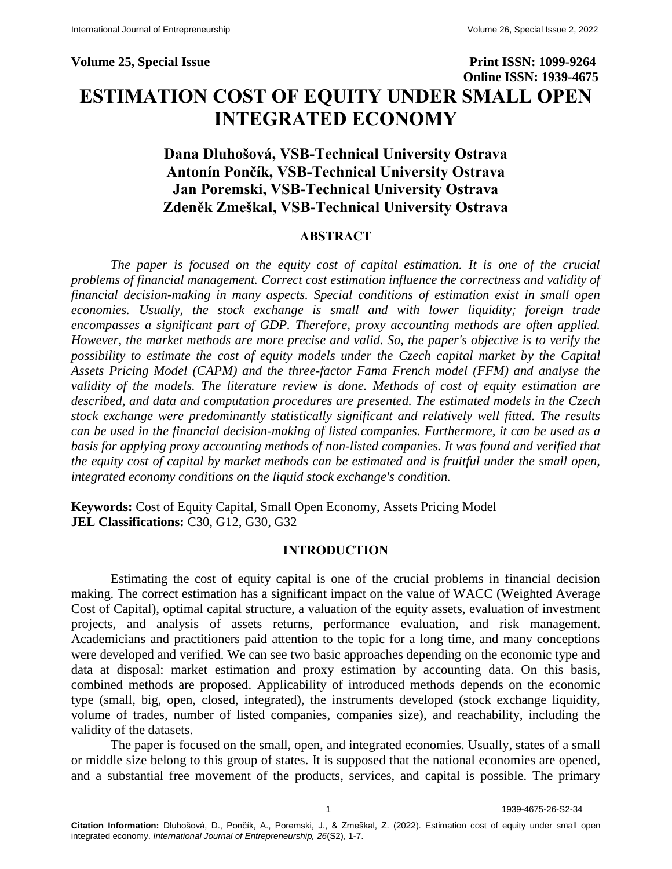**Volume 25, Special Issue Print ISSN: 1099-9264 Online ISSN: 1939-4675 ESTIMATION COST OF EQUITY UNDER SMALL OPEN INTEGRATED ECONOMY**

# **Dana Dluhošová, VSB-Technical University Ostrava Antonín Pončík, VSB-Technical University Ostrava Jan Poremski, VSB-Technical University Ostrava Zdeněk Zmeškal, VSB-Technical University Ostrava**

## **ABSTRACT**

*The paper is focused on the equity cost of capital estimation. It is one of the crucial problems of financial management. Correct cost estimation influence the correctness and validity of financial decision-making in many aspects. Special conditions of estimation exist in small open economies. Usually, the stock exchange is small and with lower liquidity; foreign trade encompasses a significant part of GDP. Therefore, proxy accounting methods are often applied. However, the market methods are more precise and valid. So, the paper's objective is to verify the possibility to estimate the cost of equity models under the Czech capital market by the Capital Assets Pricing Model (CAPM) and the three-factor Fama French model (FFM) and analyse the validity of the models. The literature review is done. Methods of cost of equity estimation are described, and data and computation procedures are presented. The estimated models in the Czech stock exchange were predominantly statistically significant and relatively well fitted. The results can be used in the financial decision-making of listed companies. Furthermore, it can be used as a basis for applying proxy accounting methods of non-listed companies. It was found and verified that the equity cost of capital by market methods can be estimated and is fruitful under the small open, integrated economy conditions on the liquid stock exchange's condition.*

**Keywords:** Cost of Equity Capital, Small Open Economy, Assets Pricing Model **JEL Classifications:** C30, G12, G30, G32

### **INTRODUCTION**

Estimating the cost of equity capital is one of the crucial problems in financial decision making. The correct estimation has a significant impact on the value of WACC (Weighted Average Cost of Capital), optimal capital structure, a valuation of the equity assets, evaluation of investment projects, and analysis of assets returns, performance evaluation, and risk management. Academicians and practitioners paid attention to the topic for a long time, and many conceptions were developed and verified. We can see two basic approaches depending on the economic type and data at disposal: market estimation and proxy estimation by accounting data. On this basis, combined methods are proposed. Applicability of introduced methods depends on the economic type (small, big, open, closed, integrated), the instruments developed (stock exchange liquidity, volume of trades, number of listed companies, companies size), and reachability, including the validity of the datasets.

The paper is focused on the small, open, and integrated economies. Usually, states of a small or middle size belong to this group of states. It is supposed that the national economies are opened, and a substantial free movement of the products, services, and capital is possible. The primary

1 1939-4675-26-S2-34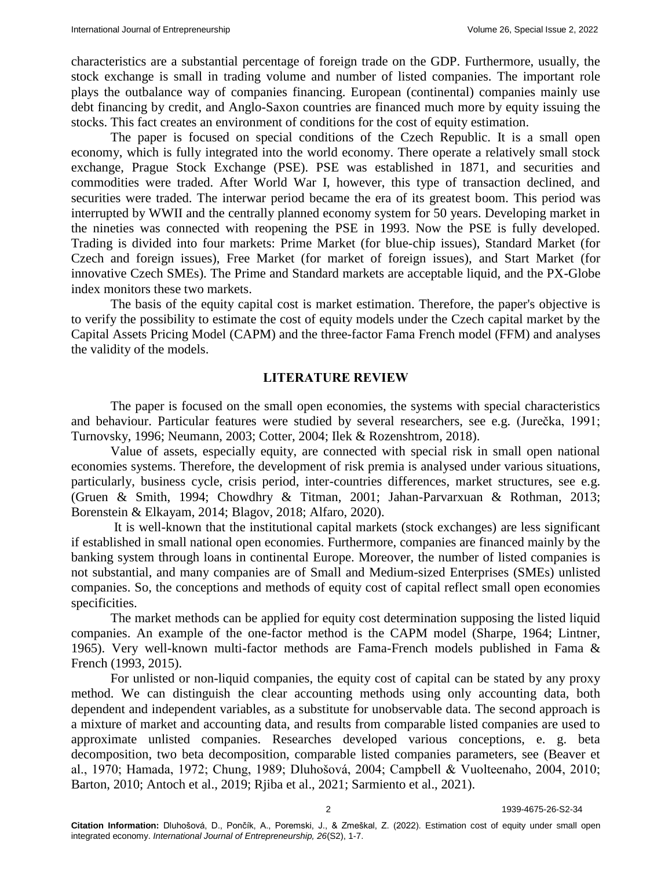characteristics are a substantial percentage of foreign trade on the GDP. Furthermore, usually, the stock exchange is small in trading volume and number of listed companies. The important role plays the outbalance way of companies financing. European (continental) companies mainly use debt financing by credit, and Anglo-Saxon countries are financed much more by equity issuing the stocks. This fact creates an environment of conditions for the cost of equity estimation.

The paper is focused on special conditions of the Czech Republic. It is a small open economy, which is fully integrated into the world economy. There operate a relatively small stock exchange, Prague Stock Exchange (PSE). PSE was established in 1871, and securities and commodities were traded. After World War I, however, this type of transaction declined, and securities were traded. The interwar period became the era of its greatest boom. This period was interrupted by WWII and the centrally planned economy system for 50 years. Developing market in the nineties was connected with reopening the PSE in 1993. Now the PSE is fully developed. Trading is divided into four markets: Prime Market (for blue-chip issues), Standard Market (for Czech and foreign issues), Free Market (for market of foreign issues), and Start Market (for innovative Czech SMEs). The Prime and Standard markets are acceptable liquid, and the PX-Globe index monitors these two markets.

The basis of the equity capital cost is market estimation. Therefore, the paper's objective is to verify the possibility to estimate the cost of equity models under the Czech capital market by the Capital Assets Pricing Model (CAPM) and the three-factor Fama French model (FFM) and analyses the validity of the models.

### **LITERATURE REVIEW**

The paper is focused on the small open economies, the systems with special characteristics and behaviour. Particular features were studied by several researchers, see e.g. (Jurečka, 1991; Turnovsky, 1996; Neumann, 2003; Cotter, 2004; Ilek & Rozenshtrom, 2018).

Value of assets, especially equity, are connected with special risk in small open national economies systems. Therefore, the development of risk premia is analysed under various situations, particularly, business cycle, crisis period, inter-countries differences, market structures, see e.g. (Gruen & Smith, 1994; Chowdhry & Titman, 2001; Jahan-Parvarxuan & Rothman, 2013; Borenstein & Elkayam, 2014; Blagov, 2018; Alfaro, 2020).

It is well-known that the institutional capital markets (stock exchanges) are less significant if established in small national open economies. Furthermore, companies are financed mainly by the banking system through loans in continental Europe. Moreover, the number of listed companies is not substantial, and many companies are of Small and Medium-sized Enterprises (SMEs) unlisted companies. So, the conceptions and methods of equity cost of capital reflect small open economies specificities.

The market methods can be applied for equity cost determination supposing the listed liquid companies. An example of the one-factor method is the CAPM model (Sharpe, 1964; Lintner, 1965). Very well-known multi-factor methods are Fama-French models published in Fama & French (1993, 2015).

For unlisted or non-liquid companies, the equity cost of capital can be stated by any proxy method. We can distinguish the clear accounting methods using only accounting data, both dependent and independent variables, as a substitute for unobservable data. The second approach is a mixture of market and accounting data, and results from comparable listed companies are used to approximate unlisted companies. Researches developed various conceptions, e. g. beta decomposition, two beta decomposition, comparable listed companies parameters, see (Beaver et al., 1970; Hamada, 1972; Chung, 1989; Dluhošová, 2004; Campbell & Vuolteenaho, 2004, 2010; Barton, 2010; Antoch et al., 2019; Rjiba et al., 2021; Sarmiento et al., 2021).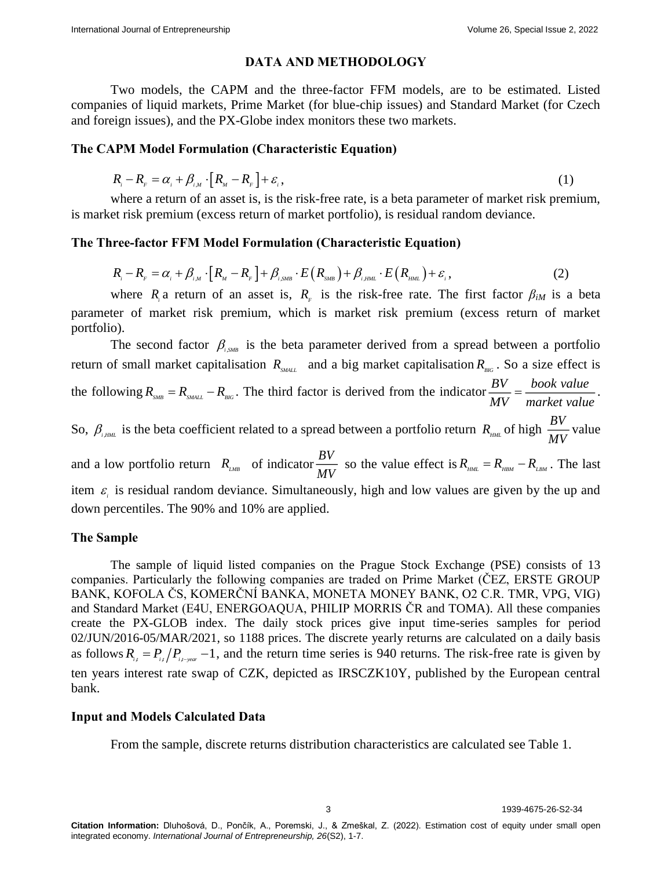### **DATA AND METHODOLOGY**

Two models, the CAPM and the three-factor FFM models, are to be estimated. Listed companies of liquid markets, Prime Market (for blue-chip issues) and Standard Market (for Czech and foreign issues), and the PX-Globe index monitors these two markets.

### **The CAPM Model Formulation (Characteristic Equation)**

$$
R_i - R_{\scriptscriptstyle F} = \alpha_i + \beta_{i,\scriptscriptstyle M} \cdot \left[ R_{\scriptscriptstyle M} - R_{\scriptscriptstyle F} \right] + \varepsilon_i, \tag{1}
$$

where a return of an asset is, is the risk-free rate, is a beta parameter of market risk premium, is market risk premium (excess return of market portfolio), is residual random deviance.

The Three-factor FFM Model Formulation (Characteristic Equation)  
\n
$$
R_i - R_{\scriptscriptstyle F} = \alpha_i + \beta_{\scriptscriptstyle i,M} \cdot [R_{\scriptscriptstyle M} - R_{\scriptscriptstyle F}] + \beta_{\scriptscriptstyle i,SMB} \cdot E(R_{\scriptscriptstyle SM}) + \beta_{\scriptscriptstyle i,HM} \cdot E(R_{\scriptscriptstyle MM}) + \varepsilon_i, \tag{2}
$$

where  $R_i$  a return of an asset is,  $R_f$  is the risk-free rate. The first factor  $\beta_{iM}$  is a beta parameter of market risk premium, which is market risk premium (excess return of market portfolio).

The second factor  $\beta_{i,SMB}$  is the beta parameter derived from a spread between a portfolio return of small market capitalisation  $R_{\text{SML}}$  and a big market capitalisation  $R_{\text{BG}}$ . So a size effect is the following  $R_{sMB} = R_{sMALL} - R_{BG}$ . The third factor is derived from the indicator  $\frac{BV}{S} = \frac{book \text{ value}}{1.5 \text{ year}}$  $\frac{Bv}{MV} = \frac{600 \kappa \text{ value}}{market value}$ . So,  $\beta_{\text{HMM}}$  is the beta coefficient related to a spread between a portfolio return  $R_{\text{HMM}}$  of high  $\frac{BV}{AM}$  $\frac{B}{MV}$  value and a low portfolio return  $R_{\mu_{MR}}$  of indicator  $\frac{BV}{AH}$  $\frac{B}{MV}$  so the value effect is  $R_{<sub>HML</sub>} = R_{<sub>HBM</sub>} - R_{<sub>LBM</sub>}$ . The last

item  $\varepsilon$  is residual random deviance. Simultaneously, high and low values are given by the up and down percentiles. The 90% and 10% are applied.

### **The Sample**

The sample of liquid listed companies on the Prague Stock Exchange (PSE) consists of 13 companies. Particularly the following companies are traded on Prime Market (ČEZ, ERSTE GROUP BANK, KOFOLA ČS, KOMERČNÍ BANKA, MONETA MONEY BANK, O2 C.R. TMR, VPG, VIG) and Standard Market (E4U, ENERGOAQUA, PHILIP MORRIS ČR and TOMA). All these companies create the PX-GLOB index. The daily stock prices give input time-series samples for period 02/JUN/2016-05/MAR/2021, so 1188 prices. The discrete yearly returns are calculated on a daily basis as follows  $R_{i} = P_{i} / P_{i}$ ,  $\frac{1}{2}$ , and the return time series is 940 returns. The risk-free rate is given by ten years interest rate swap of CZK, depicted as IRSCZK10Y, published by the European central bank.

### **Input and Models Calculated Data**

From the sample, discrete returns distribution characteristics are calculated see Table 1.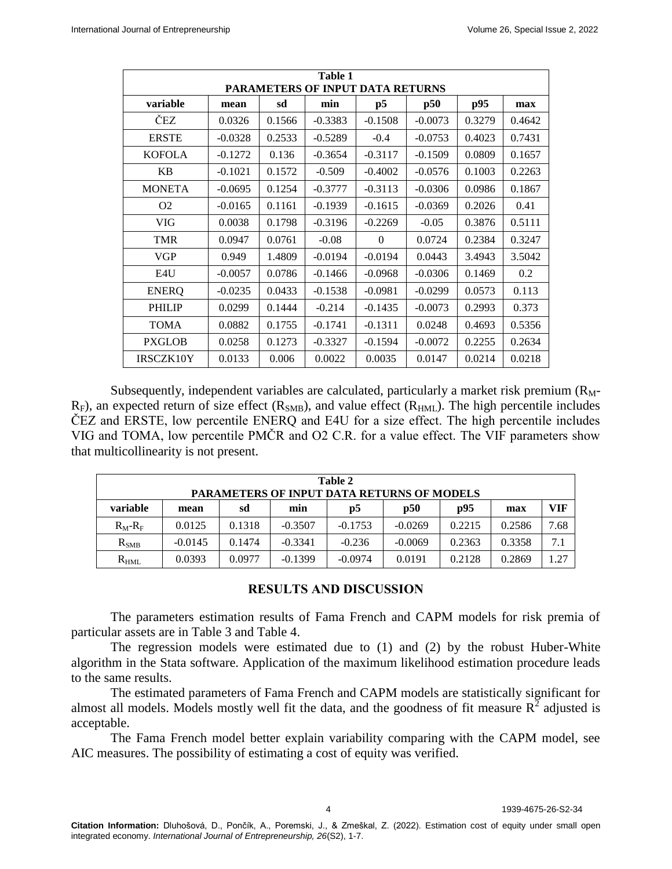| Table 1<br>PARAMETERS OF INPUT DATA RETURNS |                                       |        |           |           |           |        |        |  |  |
|---------------------------------------------|---------------------------------------|--------|-----------|-----------|-----------|--------|--------|--|--|
| variable                                    | p95<br>p5<br>p50<br>sd<br>min<br>mean |        |           |           |           |        |        |  |  |
| ČEZ                                         | 0.0326                                | 0.1566 | $-0.3383$ | $-0.1508$ | $-0.0073$ | 0.3279 | 0.4642 |  |  |
| <b>ERSTE</b>                                | $-0.0328$                             | 0.2533 | $-0.5289$ | $-0.4$    | $-0.0753$ | 0.4023 | 0.7431 |  |  |
| <b>KOFOLA</b>                               | $-0.1272$                             | 0.136  | $-0.3654$ | $-0.3117$ | $-0.1509$ | 0.0809 | 0.1657 |  |  |
| <b>KB</b>                                   | $-0.1021$                             | 0.1572 | $-0.509$  | $-0.4002$ | $-0.0576$ | 0.1003 | 0.2263 |  |  |
| <b>MONETA</b>                               | $-0.0695$                             | 0.1254 | $-0.3777$ | $-0.3113$ | $-0.0306$ | 0.0986 | 0.1867 |  |  |
| O <sub>2</sub>                              | $-0.0165$                             | 0.1161 | $-0.1939$ | $-0.1615$ | $-0.0369$ | 0.2026 | 0.41   |  |  |
| <b>VIG</b>                                  | 0.0038                                | 0.1798 | $-0.3196$ | $-0.2269$ | $-0.05$   | 0.3876 | 0.5111 |  |  |
| <b>TMR</b>                                  | 0.0947                                | 0.0761 | $-0.08$   | $\Omega$  | 0.0724    | 0.2384 | 0.3247 |  |  |
| VGP                                         | 0.949                                 | 1.4809 | $-0.0194$ | $-0.0194$ | 0.0443    | 3.4943 | 3.5042 |  |  |
| E4U                                         | $-0.0057$                             | 0.0786 | $-0.1466$ | $-0.0968$ | $-0.0306$ | 0.1469 | 0.2    |  |  |
| <b>ENERO</b>                                | $-0.0235$                             | 0.0433 | $-0.1538$ | $-0.0981$ | $-0.0299$ | 0.0573 | 0.113  |  |  |
| <b>PHILIP</b>                               | 0.0299                                | 0.1444 | $-0.214$  | $-0.1435$ | $-0.0073$ | 0.2993 | 0.373  |  |  |
| <b>TOMA</b>                                 | 0.0882                                | 0.1755 | $-0.1741$ | $-0.1311$ | 0.0248    | 0.4693 | 0.5356 |  |  |
| <b>PXGLOB</b>                               | 0.0258                                | 0.1273 | $-0.3327$ | $-0.1594$ | $-0.0072$ | 0.2255 | 0.2634 |  |  |
| IRSCZK10Y                                   | 0.0133                                | 0.006  | 0.0022    | 0.0035    | 0.0147    | 0.0214 | 0.0218 |  |  |

Subsequently, independent variables are calculated, particularly a market risk premium  $(R_M$ - $R_F$ ), an expected return of size effect ( $R_{SMB}$ ), and value effect ( $R_{HML}$ ). The high percentile includes ČEZ and ERSTE, low percentile ENERQ and E4U for a size effect. The high percentile includes VIG and TOMA, low percentile PMČR and O2 C.R. for a value effect. The VIF parameters show that multicollinearity is not present.

| Table 2<br><b>PARAMETERS OF INPUT DATA RETURNS OF MODELS</b> |                                                     |        |           |           |           |        |        |      |  |  |
|--------------------------------------------------------------|-----------------------------------------------------|--------|-----------|-----------|-----------|--------|--------|------|--|--|
| variable                                                     | p95<br>VIF<br>p50<br>sd<br>p5<br>min<br>mean<br>max |        |           |           |           |        |        |      |  |  |
| $R_M-R_F$                                                    | 0.0125                                              | 0.1318 | $-0.3507$ | $-0.1753$ | $-0.0269$ | 0.2215 | 0.2586 | 7.68 |  |  |
| $R_{\rm SMB}$                                                | $-0.0145$                                           | 0.1474 | $-0.3341$ | $-0.236$  | $-0.0069$ | 0.2363 | 0.3358 | 7.1  |  |  |
| $R_{HML}$                                                    | 0.0393                                              | 0.0977 | $-0.1399$ | $-0.0974$ | 0.0191    | 0.2128 | 0.2869 | 1.27 |  |  |

# **RESULTS AND DISCUSSION**

The parameters estimation results of Fama French and CAPM models for risk premia of particular assets are in Table 3 and Table 4.

The regression models were estimated due to (1) and (2) by the robust Huber-White algorithm in the Stata software. Application of the maximum likelihood estimation procedure leads to the same results.

The estimated parameters of Fama French and CAPM models are statistically significant for almost all models. Models mostly well fit the data, and the goodness of fit measure  $R^2$  adjusted is acceptable.

The Fama French model better explain variability comparing with the CAPM model, see AIC measures. The possibility of estimating a cost of equity was verified.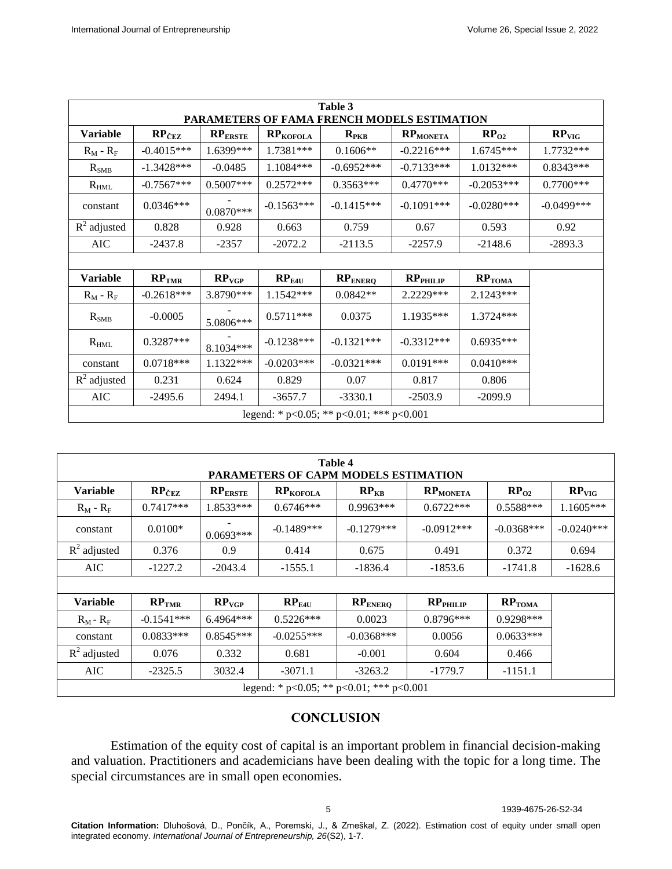| Table 3<br><b>PARAMETERS OF FAMA FRENCH MODELS ESTIMATION</b> |                     |                   |                   |              |                 |                    |                   |  |  |
|---------------------------------------------------------------|---------------------|-------------------|-------------------|--------------|-----------------|--------------------|-------------------|--|--|
| Variable                                                      | $RP_{\text{CEZ}}$   | $RP_{ERSTE}$      | <b>RPKOFOLA</b>   | $R_{PKB}$    | <b>RPMONETA</b> | RP <sub>02</sub>   | RP <sub>VIG</sub> |  |  |
| $R_M - R_F$                                                   | $-0.4015***$        | 1.6399***         | 1.7381***         | $0.1606**$   | $-0.2216***$    | $1.6745***$        | 1.7732***         |  |  |
| $R_{SMB}$                                                     | $-1.3428***$        | $-0.0485$         | $1.1084***$       | $-0.6952***$ | $-0.7133***$    | $1.0132***$        | $0.8343***$       |  |  |
| $R_{HML}$                                                     | $-0.7567***$        | $0.5007***$       | $0.2572***$       | $0.3563***$  | $0.4770***$     | $-0.2053***$       | $0.7700***$       |  |  |
| constant                                                      | $0.0346***$         | $0.0870***$       | $-0.1563***$      | $-0.1415***$ | $-0.1091***$    | $-0.0280***$       | $-0.0499$ ***     |  |  |
| $R^2$ adjusted                                                | 0.828               | 0.928             | 0.663             | 0.759        | 0.67            | 0.593              | 0.92              |  |  |
| AIC                                                           | $-2437.8$           | $-2357$           | $-2072.2$         | $-2113.5$    | $-2257.9$       | $-2148.6$          | $-2893.3$         |  |  |
|                                                               |                     |                   |                   |              |                 |                    |                   |  |  |
| <b>Variable</b>                                               | $RP$ <sub>TMR</sub> | RP <sub>VGP</sub> | RP <sub>E4U</sub> | $RP_{ENERQ}$ | $RP$ PHILIP     | RP <sub>TOMA</sub> |                   |  |  |
| $R_M - R_F$                                                   | $-0.2618***$        | 3.8790***         | 1.1542***         | $0.0842**$   | 2.2229***       | $2.1243***$        |                   |  |  |
| $R_{SMB}$                                                     | $-0.0005$           | 5.0806***         | $0.5711***$       | 0.0375       | 1.1935***       | $1.3724***$        |                   |  |  |
| $R_{HML}$                                                     | $0.3287***$         | 8.1034***         | $-0.1238***$      | $-0.1321***$ | $-0.3312***$    | $0.6935***$        |                   |  |  |
| constant                                                      | $0.0718***$         | 1.1322***         | $-0.0203***$      | $-0.0321***$ | $0.0191***$     | $0.0410***$        |                   |  |  |
| $R^2$ adjusted                                                | 0.231               | 0.624             | 0.829             | 0.07         | 0.817           | 0.806              |                   |  |  |
| AIC                                                           | $-2495.6$           | 2494.1            | -3657.7           | $-3330.1$    | $-2503.9$       | $-2099.9$          |                   |  |  |
| legend: * p<0.05; ** p<0.01; *** p<0.001                      |                     |                   |                   |              |                 |                    |                   |  |  |

| Table 4<br>PARAMETERS OF CAPM MODELS ESTIMATION |                     |                                |                      |              |                               |                    |                   |  |  |
|-------------------------------------------------|---------------------|--------------------------------|----------------------|--------------|-------------------------------|--------------------|-------------------|--|--|
| <b>Variable</b>                                 | $RP_{\text{CEZ}}$   | $\mathbf{RP}_{\mathrm{ERSTE}}$ | RP <sub>KOFOLA</sub> | $RP_{KB}$    | <b>RPMONETA</b>               | $RP_{02}$          | RP <sub>VIG</sub> |  |  |
| $R_M - R_F$                                     | $0.7417***$         | $1.8533***$                    | $0.6746***$          | $0.9963***$  | $0.6722***$                   | $0.5588***$        | $1.1605***$       |  |  |
| constant                                        | $0.0100*$           | $0.0693***$                    | $-0.1489***$         | $-0.1279***$ | $-0.0912***$                  | $-0.0368***$       | $-0.0240***$      |  |  |
| $R^2$ adjusted                                  | 0.376               | 0.9                            | 0.414                | 0.675        | 0.491                         | 0.372              | 0.694             |  |  |
| AIC                                             | $-1227.2$           | $-2043.4$                      | $-1555.1$            | $-1836.4$    | $-1853.6$                     | $-1741.8$          | $-1628.6$         |  |  |
|                                                 |                     |                                |                      |              |                               |                    |                   |  |  |
| <b>Variable</b>                                 | $RP$ <sub>TMR</sub> | RP <sub>VGP</sub>              | $RP_{E4U}$           | $RP_{ENERQ}$ | $\mathbf{RP}_{\text{PHILIP}}$ | RP <sub>TOMA</sub> |                   |  |  |
| $R_M - R_F$                                     | $-0.1541***$        | $6.4964***$                    | $0.5226***$          | 0.0023       | $0.8796***$                   | $0.9298***$        |                   |  |  |
| constant                                        | $0.0833***$         | $0.8545***$                    | $-0.0255***$         | $-0.0368***$ | 0.0056                        | $0.0633***$        |                   |  |  |
| $R^2$ adjusted                                  | 0.076               | 0.332                          | 0.681                | $-0.001$     | 0.604                         | 0.466              |                   |  |  |
| AIC                                             | $-2325.5$           | 3032.4                         | $-3071.1$            | $-3263.2$    | $-1779.7$                     | $-1151.1$          |                   |  |  |
| legend: * p<0.05; ** p<0.01; *** p<0.001        |                     |                                |                      |              |                               |                    |                   |  |  |

# **CONCLUSION**

Estimation of the equity cost of capital is an important problem in financial decision-making and valuation. Practitioners and academicians have been dealing with the topic for a long time. The special circumstances are in small open economies.

5 1939-4675-26-S2-34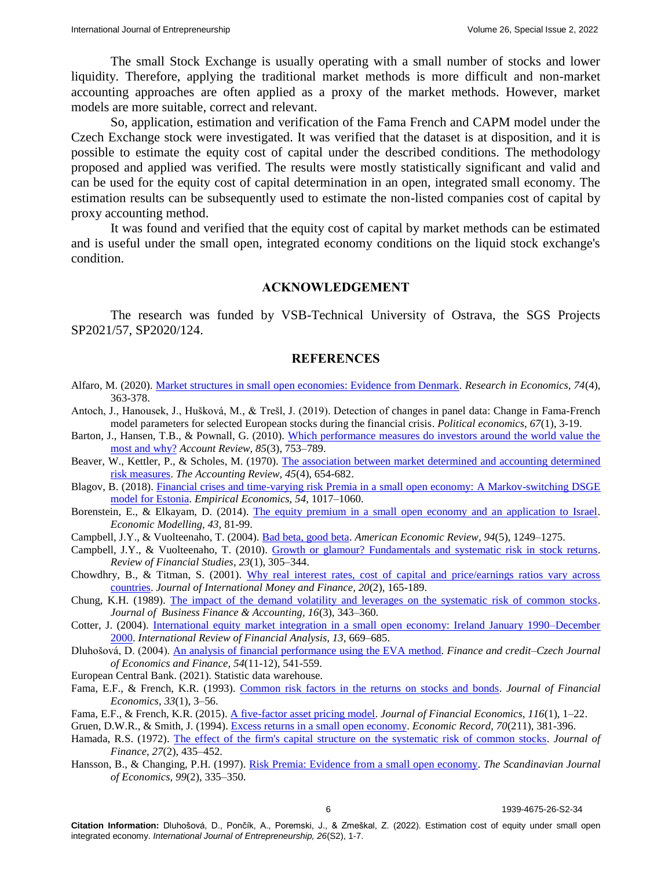The small Stock Exchange is usually operating with a small number of stocks and lower liquidity. Therefore, applying the traditional market methods is more difficult and non-market accounting approaches are often applied as a proxy of the market methods. However, market models are more suitable, correct and relevant.

So, application, estimation and verification of the Fama French and CAPM model under the Czech Exchange stock were investigated. It was verified that the dataset is at disposition, and it is possible to estimate the equity cost of capital under the described conditions. The methodology proposed and applied was verified. The results were mostly statistically significant and valid and can be used for the equity cost of capital determination in an open, integrated small economy. The estimation results can be subsequently used to estimate the non-listed companies cost of capital by proxy accounting method.

It was found and verified that the equity cost of capital by market methods can be estimated and is useful under the small open, integrated economy conditions on the liquid stock exchange's condition.

### **ACKNOWLEDGEMENT**

The research was funded by VSB-Technical University of Ostrava, the SGS Projects SP2021/57, SP2020/124.

### **REFERENCES**

- Alfaro, M. (2020). [Market structures in small open economies: Evidence from Denmark.](https://www.sciencedirect.com/science/article/abs/pii/S1090944320303781) *Research in Economics, 74*(4), 363-378.
- Antoch, J., Hanousek, J., Hušková, M., & Trešl, J. (2019). Detection of changes in panel data: Change in Fama-French model parameters for selected European stocks during the financial crisis. *Political economics, 67*(1), 3-19.
- Barton, J., Hansen, T.B., & Pownall, G. (2010). [Which performance measures do investors around the world value the](https://meridian.allenpress.com/accounting-review/article-abstract/85/3/753/68423/Which-Performance-Measures-Do-Investors-Around-the)  [most and why?](https://meridian.allenpress.com/accounting-review/article-abstract/85/3/753/68423/Which-Performance-Measures-Do-Investors-Around-the) *Account Review, 85*(3), 753–789.
- Beaver, W., Kettler, P., & Scholes, M. (1970). [The association between market determined and accounting determined](https://www.jstor.org/stable/244204)  [risk measures.](https://www.jstor.org/stable/244204) *The Accounting Review, 45*(4), 654-682.
- Blagov, B. (2018). [Financial crises and time-varying risk Premia in a small open economy: A](https://link.springer.com/article/10.1007/s00181-017-1256-z) Markov-switching DSGE [model for Estonia.](https://link.springer.com/article/10.1007/s00181-017-1256-z) *Empirical Economics, 54,* 1017–1060.
- Borenstein, E., & Elkayam, D. (2014). [The equity premium in a small open economy and an application to Israel.](https://www.sciencedirect.com/science/article/abs/pii/S0264999314003034) *Economic Modelling, 43,* 81-99.
- Campbell, J.Y., & Vuolteenaho, T. (2004). [Bad beta, good beta.](https://www.aeaweb.org/articles?id=10.1257/0002828043052240) *American Economic Review, 94*(5), 1249–1275.
- Campbell, J.Y., & Vuolteenaho, T. (2010). [Growth or glamour? Fundamentals and systematic risk in stock returns.](https://academic.oup.com/rfs/article-abstract/23/1/305/1577453) *Review of Financial Studies, 23*(1), 305–344.
- Chowdhry, B., & Titman, S. (2001). [Why real interest rates, cost of capital and price/earnings ratios vary across](https://www.sciencedirect.com/science/article/abs/pii/S0261560600000449)  [countries.](https://www.sciencedirect.com/science/article/abs/pii/S0261560600000449) *Journal of International Money and Finance, 20*(2), 165-189.

Chung, K.H. (1989). [The impact of the demand volatility and leverages on the systematic risk of common stocks.](https://onlinelibrary.wiley.com/doi/abs/10.1111/j.1468-5957.1989.tb00023.x) *Journal of Business Finance & Accounting, 16*(3), 343–360.

- Cotter, J. (2004). [International equity market integration in a small open economy: Ireland January 1990–December](https://www.sciencedirect.com/science/article/abs/pii/S1057521904000286)  [2000.](https://www.sciencedirect.com/science/article/abs/pii/S1057521904000286) *International Review of Financial Analysis, 13,* 669–685.
- Dluhošová, D. (2004). [An analysis of financial performance using the EVA method.](https://ideas.repec.org/a/fau/fauart/v54y2004i11-12p541-559.html) *Finance and credit–Czech Journal of Economics and Finance, 54*(11-12), 541-559.
- European Central Bank. (2021). Statistic data warehouse.
- Fama, E.F., & French, K.R. (1993). [Common risk factors in the returns on stocks and bonds.](https://www.sciencedirect.com/science/article/abs/pii/0304405X93900235) *Journal of Financial Economics, 33*(1), 3–56.
- Fama, E.F., & French, K.R. (2015). [A five-factor asset pricing model.](https://www.sciencedirect.com/science/article/abs/pii/S0304405X14002323) *Journal of Financial Economics, 116*(1), 1–22.

Gruen, D.W.R., & Smith, J. (1994)[. Excess returns in a small open economy.](https://onlinelibrary.wiley.com/doi/abs/10.1111/j.1475-4932.1994.tb01857.x) *Economic Record, 70*(211), 381-396.

- Hamada, R.S. (1972). [The effect of the firm's capital structure on the systematic risk of common stocks.](https://www.jstor.org/stable/2978486) *Journal of Finance, 27*(2), 435–452.
- Hansson, B., & Changing, P.H. (1997). [Risk Premia: Evidence from a small open economy.](https://onlinelibrary.wiley.com/doi/abs/10.1111/1467-9442.00066) *The Scandinavian Journal of Economics, 99*(2), 335–350.